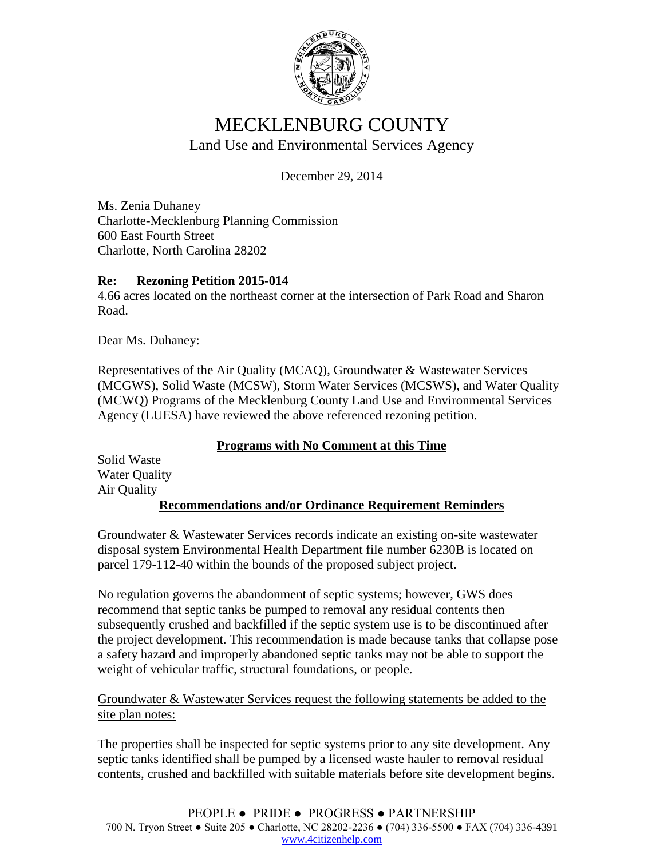

## MECKLENBURG COUNTY Land Use and Environmental Services Agency

December 29, 2014

Ms. Zenia Duhaney Charlotte-Mecklenburg Planning Commission 600 East Fourth Street Charlotte, North Carolina 28202

## **Re: Rezoning Petition 2015-014**

4.66 acres located on the northeast corner at the intersection of Park Road and Sharon Road.

Dear Ms. Duhaney:

Representatives of the Air Quality (MCAQ), Groundwater & Wastewater Services (MCGWS), Solid Waste (MCSW), Storm Water Services (MCSWS), and Water Quality (MCWQ) Programs of the Mecklenburg County Land Use and Environmental Services Agency (LUESA) have reviewed the above referenced rezoning petition.

## **Programs with No Comment at this Time**

Solid Waste Water Quality Air Quality **Recommendations and/or Ordinance Requirement Reminders**

Groundwater & Wastewater Services records indicate an existing on-site wastewater disposal system Environmental Health Department file number 6230B is located on parcel 179-112-40 within the bounds of the proposed subject project.

No regulation governs the abandonment of septic systems; however, GWS does recommend that septic tanks be pumped to removal any residual contents then subsequently crushed and backfilled if the septic system use is to be discontinued after the project development. This recommendation is made because tanks that collapse pose a safety hazard and improperly abandoned septic tanks may not be able to support the weight of vehicular traffic, structural foundations, or people.

Groundwater & Wastewater Services request the following statements be added to the site plan notes:

The properties shall be inspected for septic systems prior to any site development. Any septic tanks identified shall be pumped by a licensed waste hauler to removal residual contents, crushed and backfilled with suitable materials before site development begins.